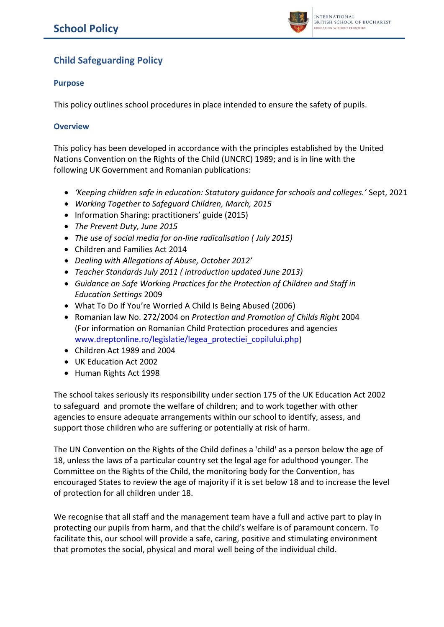

## **Child Safeguarding Policy**

### **Purpose**

This policy outlines school procedures in place intended to ensure the safety of pupils.

### **Overview**

This policy has been developed in accordance with the principles established by the United Nations Convention on the Rights of the Child (UNCRC) 1989; and is in line with the following UK Government and Romanian publications:

- *'Keeping children safe in education: Statutory guidance for schools and colleges.'* Sept, 2021
- *Working Together to Safeguard Children, March, 2015*
- Information Sharing: practitioners' guide (2015)
- *The Prevent Duty, June 2015*
- *The use of social media for on-line radicalisation ( July 2015)*
- Children and Families Act 2014
- *Dealing with Allegations of Abuse, October 2012'*
- *Teacher Standards July 2011 ( introduction updated June 2013)*
- *Guidance on Safe Working Practices for the Protection of Children and Staff in Education Settings* 2009
- What To Do If You're Worried A Child Is Being Abused (2006)
- Romanian law No. 272/2004 on *Protection and Promotion of Childs Right* 2004 (For information on Romanian Child Protection procedures and agencies [www.dreptonline.ro/legislatie/legea\\_protectiei\\_copilului.php\)](http://www.dreptonline.ro/legislatie/legea_protectiei_copilului.php)
- Children Act 1989 and 2004
- UK Education Act 2002
- Human Rights Act 1998

The school takes seriously its responsibility under section 175 of the UK Education Act 2002 to safeguard and promote the welfare of children; and to work together with other agencies to ensure adequate arrangements within our school to identify, assess, and support those children who are suffering or potentially at risk of harm.

The UN Convention on the Rights of the Child defines a 'child' as a person below the age of 18, unless the laws of a particular country set the legal age for adulthood younger. The Committee on the Rights of the Child, the monitoring body for the Convention, has encouraged States to review the age of majority if it is set below 18 and to increase the level of protection for all children under 18.

We recognise that all staff and the management team have a full and active part to play in protecting our pupils from harm, and that the child's welfare is of paramount concern. To facilitate this, our school will provide a safe, caring, positive and stimulating environment that promotes the social, physical and moral well being of the individual child.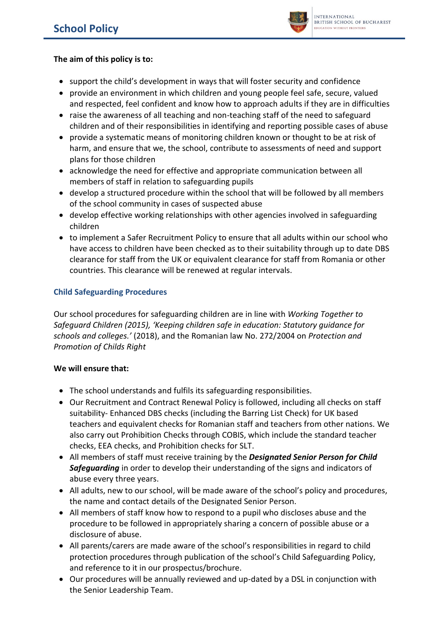

## **The aim of this policy is to:**

- support the child's development in ways that will foster security and confidence
- provide an environment in which children and young people feel safe, secure, valued and respected, feel confident and know how to approach adults if they are in difficulties
- raise the awareness of all teaching and non-teaching staff of the need to safeguard children and of their responsibilities in identifying and reporting possible cases of abuse
- provide a systematic means of monitoring children known or thought to be at risk of harm, and ensure that we, the school, contribute to assessments of need and support plans for those children
- acknowledge the need for effective and appropriate communication between all members of staff in relation to safeguarding pupils
- develop a structured procedure within the school that will be followed by all members of the school community in cases of suspected abuse
- develop effective working relationships with other agencies involved in safeguarding children
- to implement a Safer Recruitment Policy to ensure that all adults within our school who have access to children have been checked as to their suitability through up to date DBS clearance for staff from the UK or equivalent clearance for staff from Romania or other countries. This clearance will be renewed at regular intervals.

## **Child Safeguarding Procedures**

Our school procedures for safeguarding children are in line with *Working Together to Safeguard Children (2015), 'Keeping children safe in education: Statutory guidance for schools and colleges.'* (2018), and the Romanian law No. 272/2004 on *Protection and Promotion of Childs Right*

## **We will ensure that:**

- The school understands and fulfils its safeguarding responsibilities.
- Our Recruitment and Contract Renewal Policy is followed, including all checks on staff suitability- Enhanced DBS checks (including the Barring List Check) for UK based teachers and equivalent checks for Romanian staff and teachers from other nations. We also carry out Prohibition Checks through COBIS, which include the standard teacher checks, EEA checks, and Prohibition checks for SLT.
- All members of staff must receive training by the *Designated Senior Person for Child Safeguarding* in order to develop their understanding of the signs and indicators of abuse every three years.
- All adults, new to our school, will be made aware of the school's policy and procedures, the name and contact details of the Designated Senior Person.
- All members of staff know how to respond to a pupil who discloses abuse and the procedure to be followed in appropriately sharing a concern of possible abuse or a disclosure of abuse.
- All parents/carers are made aware of the school's responsibilities in regard to child protection procedures through publication of the school's Child Safeguarding Policy, and reference to it in our prospectus/brochure.
- Our procedures will be annually reviewed and up-dated by a DSL in conjunction with the Senior Leadership Team.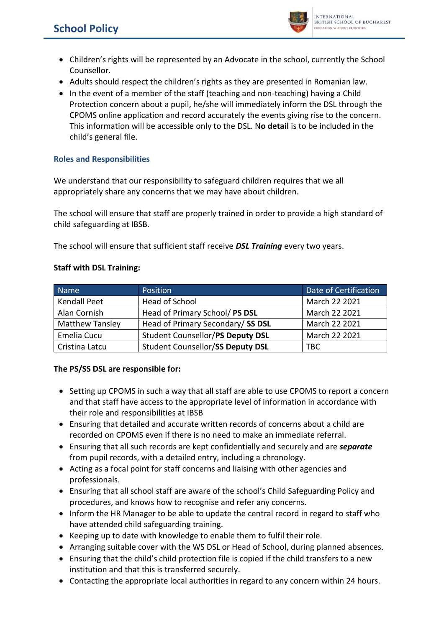

- Children's rights will be represented by an Advocate in the school, currently the School Counsellor.
- Adults should respect the children's rights as they are presented in Romanian law.
- In the event of a member of the staff (teaching and non-teaching) having a Child Protection concern about a pupil, he/she will immediately inform the DSL through the CPOMS online application and record accurately the events giving rise to the concern. This information will be accessible only to the DSL. N**o detail** is to be included in the child's general file.

## **Roles and Responsibilities**

We understand that our responsibility to safeguard children requires that we all appropriately share any concerns that we may have about children.

The school will ensure that staff are properly trained in order to provide a high standard of child safeguarding at IBSB.

The school will ensure that sufficient staff receive *DSL Training* every two years.

### **Staff with DSL Training:**

| Name                   | Position                                        | Date of Certification |
|------------------------|-------------------------------------------------|-----------------------|
| <b>Kendall Peet</b>    | Head of School                                  | March 22 2021         |
| Alan Cornish           | Head of Primary School/ PS DSL<br>March 22 2021 |                       |
| <b>Matthew Tansley</b> | Head of Primary Secondary/ SS DSL               | March 22 2021         |
| Emelia Cucu            | <b>Student Counsellor/PS Deputy DSL</b>         | March 22 2021         |
| Cristina Latcu         | <b>Student Counsellor/SS Deputy DSL</b>         | TBC.                  |

## **The PS/SS DSL are responsible for:**

- Setting up CPOMS in such a way that all staff are able to use CPOMS to report a concern and that staff have access to the appropriate level of information in accordance with their role and responsibilities at IBSB
- Ensuring that detailed and accurate written records of concerns about a child are recorded on CPOMS even if there is no need to make an immediate referral.
- Ensuring that all such records are kept confidentially and securely and are *separate* from pupil records, with a detailed entry, including a chronology.
- Acting as a focal point for staff concerns and liaising with other agencies and professionals.
- Ensuring that all school staff are aware of the school's Child Safeguarding Policy and procedures, and knows how to recognise and refer any concerns.
- Inform the HR Manager to be able to update the central record in regard to staff who have attended child safeguarding training.
- Keeping up to date with knowledge to enable them to fulfil their role.
- Arranging suitable cover with the WS DSL or Head of School, during planned absences.
- Ensuring that the child's child protection file is copied if the child transfers to a new institution and that this is transferred securely.
- Contacting the appropriate local authorities in regard to any concern within 24 hours.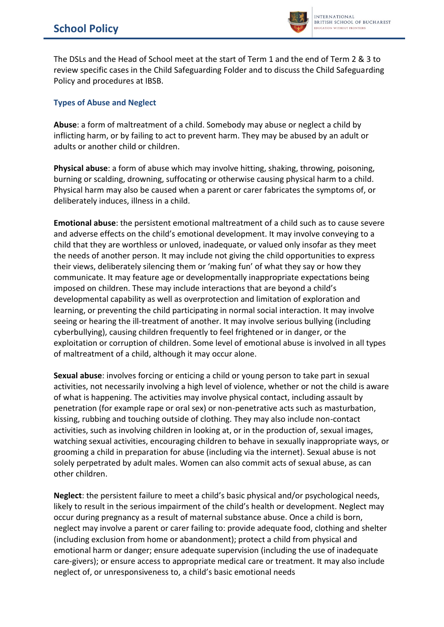

The DSLs and the Head of School meet at the start of Term 1 and the end of Term 2 & 3 to review specific cases in the Child Safeguarding Folder and to discuss the Child Safeguarding Policy and procedures at IBSB.

### **Types of Abuse and Neglect**

**Abuse**: a form of maltreatment of a child. Somebody may abuse or neglect a child by inflicting harm, or by failing to act to prevent harm. They may be abused by an adult or adults or another child or children.

**Physical abuse**: a form of abuse which may involve hitting, shaking, throwing, poisoning, burning or scalding, drowning, suffocating or otherwise causing physical harm to a child. Physical harm may also be caused when a parent or carer fabricates the symptoms of, or deliberately induces, illness in a child.

**Emotional abuse**: the persistent emotional maltreatment of a child such as to cause severe and adverse effects on the child's emotional development. It may involve conveying to a child that they are worthless or unloved, inadequate, or valued only insofar as they meet the needs of another person. It may include not giving the child opportunities to express their views, deliberately silencing them or 'making fun' of what they say or how they communicate. It may feature age or developmentally inappropriate expectations being imposed on children. These may include interactions that are beyond a child's developmental capability as well as overprotection and limitation of exploration and learning, or preventing the child participating in normal social interaction. It may involve seeing or hearing the ill-treatment of another. It may involve serious bullying (including cyberbullying), causing children frequently to feel frightened or in danger, or the exploitation or corruption of children. Some level of emotional abuse is involved in all types of maltreatment of a child, although it may occur alone.

**Sexual abuse**: involves forcing or enticing a child or young person to take part in sexual activities, not necessarily involving a high level of violence, whether or not the child is aware of what is happening. The activities may involve physical contact, including assault by penetration (for example rape or oral sex) or non-penetrative acts such as masturbation, kissing, rubbing and touching outside of clothing. They may also include non-contact activities, such as involving children in looking at, or in the production of, sexual images, watching sexual activities, encouraging children to behave in sexually inappropriate ways, or grooming a child in preparation for abuse (including via the internet). Sexual abuse is not solely perpetrated by adult males. Women can also commit acts of sexual abuse, as can other children.

**Neglect**: the persistent failure to meet a child's basic physical and/or psychological needs, likely to result in the serious impairment of the child's health or development. Neglect may occur during pregnancy as a result of maternal substance abuse. Once a child is born, neglect may involve a parent or carer failing to: provide adequate food, clothing and shelter (including exclusion from home or abandonment); protect a child from physical and emotional harm or danger; ensure adequate supervision (including the use of inadequate care-givers); or ensure access to appropriate medical care or treatment. It may also include neglect of, or unresponsiveness to, a child's basic emotional needs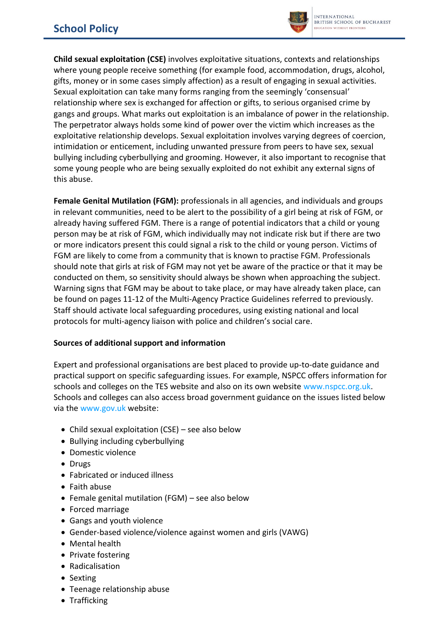

**Child sexual exploitation (CSE)** involves exploitative situations, contexts and relationships where young people receive something (for example food, accommodation, drugs, alcohol, gifts, money or in some cases simply affection) as a result of engaging in sexual activities. Sexual exploitation can take many forms ranging from the seemingly 'consensual' relationship where sex is exchanged for affection or gifts, to serious organised crime by gangs and groups. What marks out exploitation is an imbalance of power in the relationship. The perpetrator always holds some kind of power over the victim which increases as the exploitative relationship develops. Sexual exploitation involves varying degrees of coercion, intimidation or enticement, including unwanted pressure from peers to have sex, sexual bullying including cyberbullying and grooming. However, it also important to recognise that some young people who are being sexually exploited do not exhibit any external signs of this abuse.

**Female Genital Mutilation (FGM):** professionals in all agencies, and individuals and groups in relevant communities, need to be alert to the possibility of a girl being at risk of FGM, or already having suffered FGM. There is a range of potential indicators that a child or young person may be at risk of FGM, which individually may not indicate risk but if there are two or more indicators present this could signal a risk to the child or young person. Victims of FGM are likely to come from a community that is known to practise FGM. Professionals should note that girls at risk of FGM may not yet be aware of the practice or that it may be conducted on them, so sensitivity should always be shown when approaching the subject. Warning signs that FGM may be about to take place, or may have already taken place, can be found on pages 11-12 of the Multi-Agency Practice Guidelines referred to previously. Staff should activate local safeguarding procedures, using existing national and local protocols for multi-agency liaison with police and children's social care.

## **Sources of additional support and information**

Expert and professional organisations are best placed to provide up-to-date guidance and practical support on specific safeguarding issues. For example, NSPCC offers information for schools and colleges on the TES website and also on its own website [www.nspcc.org.uk.](http://www.nspcc.org.uk/) Schools and colleges can also access broad government guidance on the issues listed below via the [www.gov.uk](http://www.gov.uk/) website:

- Child sexual exploitation (CSE) see also below
- Bullying including cyberbullying
- Domestic violence
- Drugs
- Fabricated or induced illness
- Faith abuse
- Female genital mutilation (FGM) see also below
- Forced marriage
- Gangs and youth violence
- Gender-based violence/violence against women and girls (VAWG)
- Mental health
- Private fostering
- Radicalisation
- Sexting
- Teenage relationship abuse
- Trafficking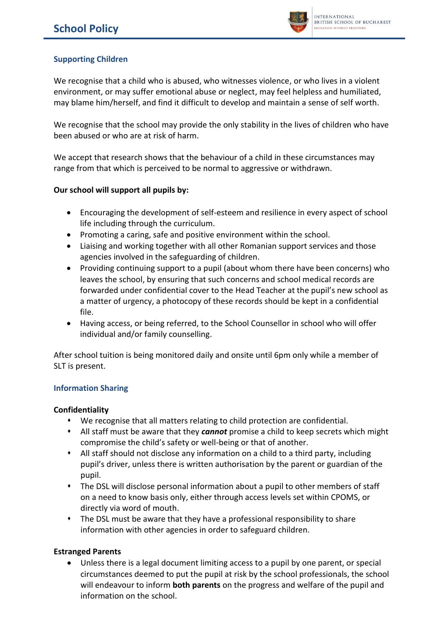

## **Supporting Children**

We recognise that a child who is abused, who witnesses violence, or who lives in a violent environment, or may suffer emotional abuse or neglect, may feel helpless and humiliated, may blame him/herself, and find it difficult to develop and maintain a sense of self worth.

We recognise that the school may provide the only stability in the lives of children who have been abused or who are at risk of harm.

We accept that research shows that the behaviour of a child in these circumstances may range from that which is perceived to be normal to aggressive or withdrawn.

## **Our school will support all pupils by:**

- Encouraging the development of self-esteem and resilience in every aspect of school life including through the curriculum.
- Promoting a caring, safe and positive environment within the school.
- Liaising and working together with all other Romanian support services and those agencies involved in the safeguarding of children.
- Providing continuing support to a pupil (about whom there have been concerns) who leaves the school, by ensuring that such concerns and school medical records are forwarded under confidential cover to the Head Teacher at the pupil's new school as a matter of urgency, a photocopy of these records should be kept in a confidential file.
- Having access, or being referred, to the School Counsellor in school who will offer individual and/or family counselling.

After school tuition is being monitored daily and onsite until 6pm only while a member of SLT is present.

## **Information Sharing**

### **Confidentiality**

- We recognise that all matters relating to child protection are confidential.
- ⬧ All staff must be aware that they *cannot* promise a child to keep secrets which might compromise the child's safety or well-being or that of another.
- ⬧ All staff should not disclose any information on a child to a third party, including pupil's driver, unless there is written authorisation by the parent or guardian of the pupil.
- ⬧ The DSL will disclose personal information about a pupil to other members of staff on a need to know basis only, either through access levels set within CPOMS, or directly via word of mouth.
- ⬧ The DSL must be aware that they have a professional responsibility to share information with other agencies in order to safeguard children.

## **Estranged Parents**

• Unless there is a legal document limiting access to a pupil by one parent, or special circumstances deemed to put the pupil at risk by the school professionals, the school will endeavour to inform **both parents** on the progress and welfare of the pupil and information on the school.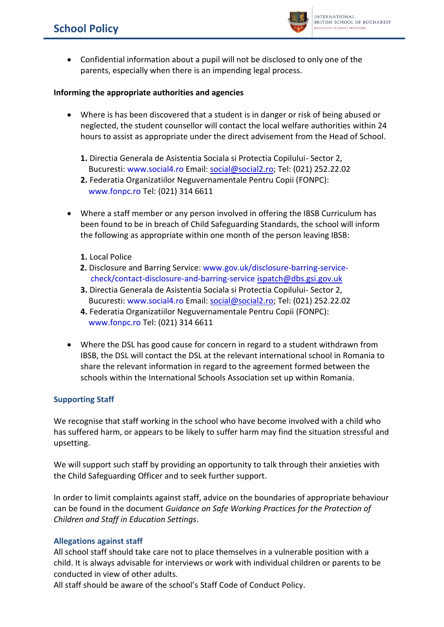# **School Policy**



• Confidential information about a pupil will not be disclosed to only one of the parents, especially when there is an impending legal process.

### **Informing the appropriate authorities and agencies**

- Where is has been discovered that a student is in danger or risk of being abused or neglected, the student counsellor will contact the local welfare authorities within 24 hours to assist as appropriate under the direct advisement from the Head of School.
	- **1.** Directia Generala de Asistentia Sociala si Protectia Copilului- Sector 2, Bucuresti: [www.social4.ro](http://www.social4.ro/) Email[: social@social2.ro;](mailto:social@social2.ro) Tel: (021) 252.22.02
	- **2.** Federatia Organizatiilor Neguvernamentale Pentru Copii (FONPC): [www.fonpc.ro](http://www.fonpc.ro/) Tel: (021) 314 6611
- Where a staff member or any person involved in offering the IBSB Curriculum has been found to be in breach of Child Safeguarding Standards, the school will inform the following as appropriate within one month of the person leaving IBSB:
	- **1.** Local Police
	- **2.** Disclosure and Barring Service: [www.gov.uk/disclosure-barring-service](http://www.gov.uk/disclosure-barring-service-check/contact-disclosure-and-barring-service)[check/contact-disclosure-and-barring-service](http://www.gov.uk/disclosure-barring-service-check/contact-disclosure-and-barring-service) [ispatch@dbs.gsi.gov.uk](mailto:ispatch@dbs.gsi.gov.uk)
	- **3.** Directia Generala de Asistentia Sociala si Protectia Copilului- Sector 2, Bucuresti: [www.social4.ro](http://www.social4.ro/) Email[: social@social2.ro;](mailto:social@social2.ro) Tel: (021) 252.22.02
	- **4.** Federatia Organizatiilor Neguvernamentale Pentru Copii (FONPC): [www.fonpc.ro](http://www.fonpc.ro/) Tel: (021) 314 6611
- Where the DSL has good cause for concern in regard to a student withdrawn from IBSB, the DSL will contact the DSL at the relevant international school in Romania to share the relevant information in regard to the agreement formed between the schools within the International Schools Association set up within Romania.

## **Supporting Staff**

We recognise that staff working in the school who have become involved with a child who has suffered harm, or appears to be likely to suffer harm may find the situation stressful and upsetting.

We will support such staff by providing an opportunity to talk through their anxieties with the Child Safeguarding Officer and to seek further support.

In order to limit complaints against staff, advice on the boundaries of appropriate behaviour can be found in the document *Guidance on Safe Working Practices for the Protection of Children and Staff in Education Settings*.

### **Allegations against staff**

All school staff should take care not to place themselves in a vulnerable position with a child. It is always advisable for interviews or work with individual children or parents to be conducted in view of other adults.

All staff should be aware of the school's Staff Code of Conduct Policy.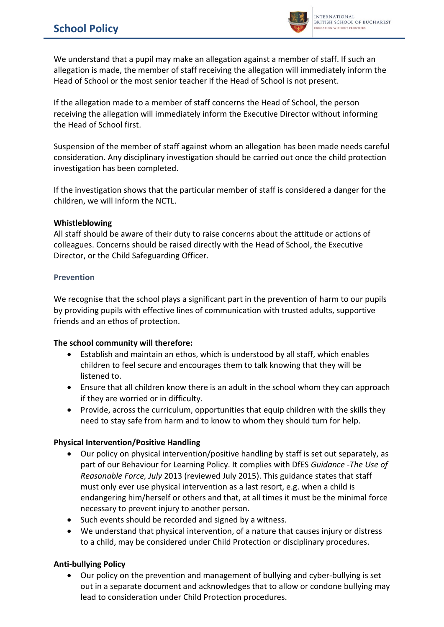

We understand that a pupil may make an allegation against a member of staff. If such an allegation is made, the member of staff receiving the allegation will immediately inform the Head of School or the most senior teacher if the Head of School is not present.

If the allegation made to a member of staff concerns the Head of School, the person receiving the allegation will immediately inform the Executive Director without informing the Head of School first.

Suspension of the member of staff against whom an allegation has been made needs careful consideration. Any disciplinary investigation should be carried out once the child protection investigation has been completed.

If the investigation shows that the particular member of staff is considered a danger for the children, we will inform the NCTL.

### **Whistleblowing**

All staff should be aware of their duty to raise concerns about the attitude or actions of colleagues. Concerns should be raised directly with the Head of School, the Executive Director, or the Child Safeguarding Officer.

### **Prevention**

We recognise that the school plays a significant part in the prevention of harm to our pupils by providing pupils with effective lines of communication with trusted adults, supportive friends and an ethos of protection.

## **The school community will therefore:**

- Establish and maintain an ethos, which is understood by all staff, which enables children to feel secure and encourages them to talk knowing that they will be listened to.
- Ensure that all children know there is an adult in the school whom they can approach if they are worried or in difficulty.
- Provide, across the curriculum, opportunities that equip children with the skills they need to stay safe from harm and to know to whom they should turn for help.

## **Physical Intervention/Positive Handling**

- Our policy on physical intervention/positive handling by staff is set out separately, as part of our Behaviour for Learning Policy. It complies with DfES *Guidance -The Use of Reasonable Force, July* 2013 (reviewed July 2015). This guidance states that staff must only ever use physical intervention as a last resort, e.g. when a child is endangering him/herself or others and that, at all times it must be the minimal force necessary to prevent injury to another person.
- Such events should be recorded and signed by a witness.
- We understand that physical intervention, of a nature that causes injury or distress to a child, may be considered under Child Protection or disciplinary procedures.

## **Anti-bullying Policy**

• Our policy on the prevention and management of bullying and cyber-bullying is set out in a separate document and acknowledges that to allow or condone bullying may lead to consideration under Child Protection procedures.